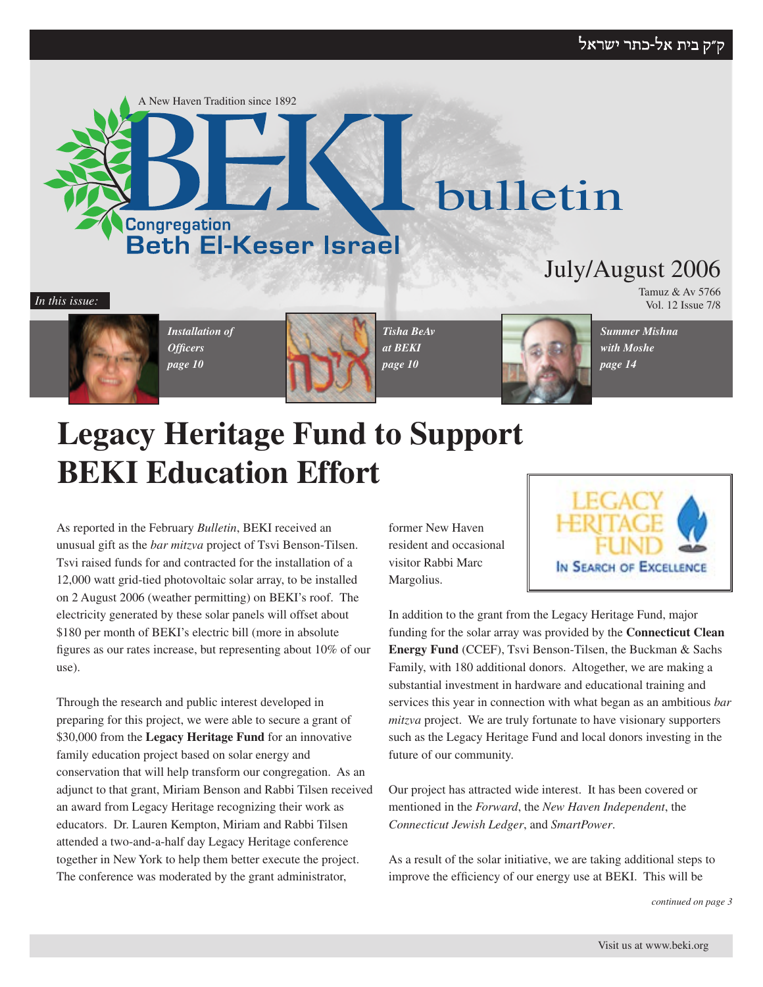#### ק״ק בית אל-כתר ישראל



Vol. 12 Issue 7/8 *In this issue:*



*Installation of Officers page 10*



*Tisha BeAv at BEKI page 10*



*Summer Mishna with Moshe page 14*

Tamuz & Av 5766

# **Legacy Heritage Fund to Support BEKI Education Effort**

As reported in the February *Bulletin*, BEKI received an unusual gift as the *bar mitzva* project of Tsvi Benson-Tilsen. Tsvi raised funds for and contracted for the installation of a 12,000 watt grid-tied photovoltaic solar array, to be installed on 2 August 2006 (weather permitting) on BEKI's roof. The electricity generated by these solar panels will offset about \$180 per month of BEKI's electric bill (more in absolute figures as our rates increase, but representing about 10% of our use).

Through the research and public interest developed in preparing for this project, we were able to secure a grant of \$30,000 from the **Legacy Heritage Fund** for an innovative family education project based on solar energy and conservation that will help transform our congregation. As an adjunct to that grant, Miriam Benson and Rabbi Tilsen received an award from Legacy Heritage recognizing their work as educators. Dr. Lauren Kempton, Miriam and Rabbi Tilsen attended a two-and-a-half day Legacy Heritage conference together in New York to help them better execute the project. The conference was moderated by the grant administrator,

former New Haven resident and occasional visitor Rabbi Marc Margolius.



In addition to the grant from the Legacy Heritage Fund, major funding for the solar array was provided by the **Connecticut Clean Energy Fund** (CCEF), Tsvi Benson-Tilsen, the Buckman & Sachs Family, with 180 additional donors. Altogether, we are making a substantial investment in hardware and educational training and services this year in connection with what began as an ambitious *bar mitzva* project. We are truly fortunate to have visionary supporters such as the Legacy Heritage Fund and local donors investing in the future of our community.

Our project has attracted wide interest. It has been covered or mentioned in the *Forward*, the *New Haven Independent*, the *Connecticut Jewish Ledger*, and *SmartPower*.

As a result of the solar initiative, we are taking additional steps to improve the efficiency of our energy use at BEKI. This will be

*continued on page 3*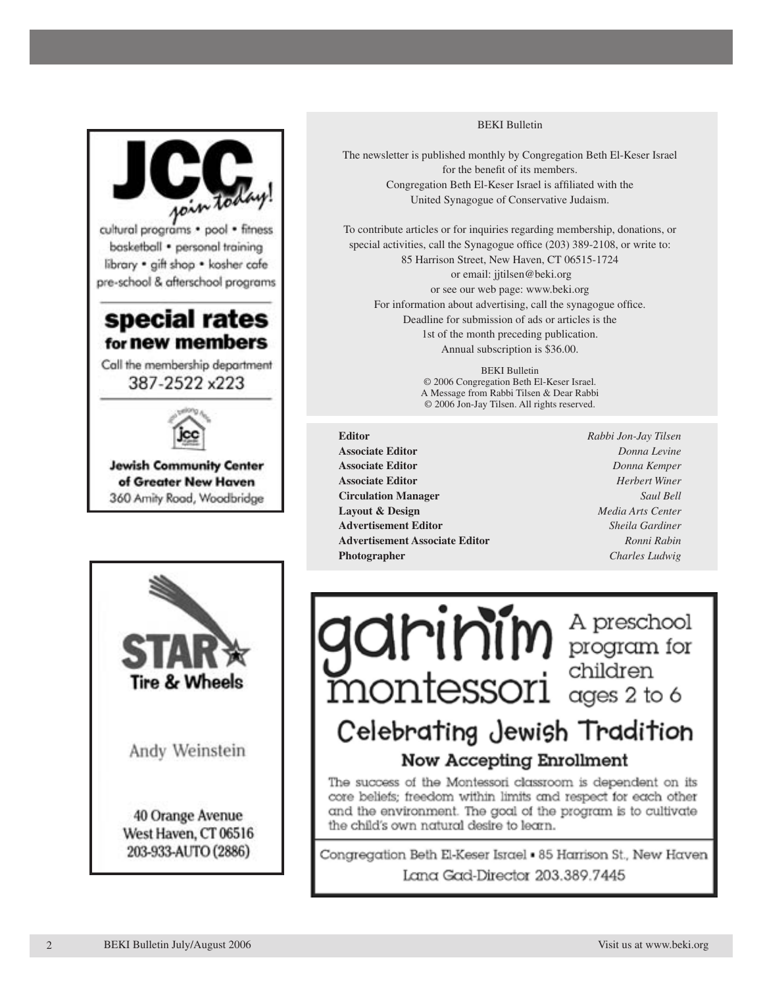



**Jewish Community Center** of Greater New Haven 360 Amity Road, Woodbridge



#### BEKI Bulletin

The newsletter is published monthly by Congregation Beth El-Keser Israel for the benefit of its members. Congregation Beth El-Keser Israel is affiliated with the United Synagogue of Conservative Judaism.

To contribute articles or for inquiries regarding membership, donations, or special activities, call the Synagogue office (203) 389-2108, or write to: 85 Harrison Street, New Haven, CT 06515-1724 or email: jjtilsen@beki.org or see our web page: www.beki.org For information about advertising, call the synagogue office. Deadline for submission of ads or articles is the 1st of the month preceding publication. Annual subscription is \$36.00.

> BEKI Bulletin © 2006 Congregation Beth El-Keser Israel. A Message from Rabbi Tilsen & Dear Rabbi © 2006 Jon-Jay Tilsen. All rights reserved.

**Editor** *Rabbi Jon-Jay Tilsen* **Associate Editor** *Donna Levine* **Associate Editor** *Donna Kemper* **Associate Editor** *Herbert Winer* **Circulation Manager** *Saul Bell* **Layout & Design** *Media Arts Center* **Advertisement Editor** *Sheila Gardiner* **Advertisement Associate Editor** *Ronni Rabin* **Photographer** *Charles Ludwig*

**garinim** A preschool<br>montessori children

## Celebrating Jewish Tradition Now Accepting Enrollment

The success of the Montessori classroom is dependent on its core beliefs; freedom within limits and respect for each other and the environment. The goal of the program is to cultivate the child's own natural desire to learn.

Congregation Beth El-Keser Israel . 85 Harrison St., New Haven Lana Gad-Director 203.389.7445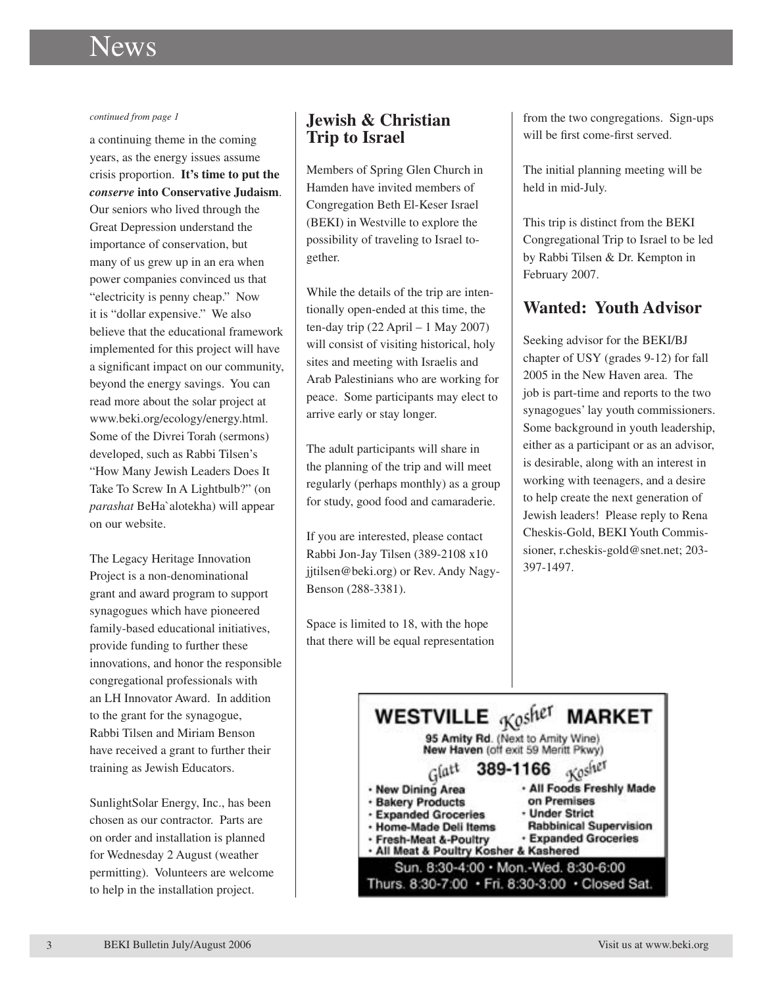# News and Category Category

#### *continued from page 1*

a continuing theme in the coming years, as the energy issues assume crisis proportion. **It's time to put the**  *conserve* **into Conservative Judaism**. Our seniors who lived through the Great Depression understand the importance of conservation, but many of us grew up in an era when power companies convinced us that "electricity is penny cheap." Now it is "dollar expensive." We also believe that the educational framework implemented for this project will have a significant impact on our community, beyond the energy savings. You can read more about the solar project at www.beki.org/ecology/energy.html. Some of the Divrei Torah (sermons) developed, such as Rabbi Tilsen's "How Many Jewish Leaders Does It Take To Screw In A Lightbulb?" (on *parashat* BeHa`alotekha) will appear on our website.

The Legacy Heritage Innovation Project is a non-denominational grant and award program to support synagogues which have pioneered family-based educational initiatives, provide funding to further these innovations, and honor the responsible congregational professionals with an LH Innovator Award. In addition to the grant for the synagogue, Rabbi Tilsen and Miriam Benson have received a grant to further their training as Jewish Educators.

SunlightSolar Energy, Inc., has been chosen as our contractor. Parts are on order and installation is planned for Wednesday 2 August (weather permitting). Volunteers are welcome to help in the installation project.

#### **Jewish & Christian Trip to Israel**

Members of Spring Glen Church in Hamden have invited members of Congregation Beth El-Keser Israel (BEKI) in Westville to explore the possibility of traveling to Israel together.

While the details of the trip are intentionally open-ended at this time, the ten-day trip (22 April – 1 May 2007) will consist of visiting historical, holy sites and meeting with Israelis and Arab Palestinians who are working for peace. Some participants may elect to arrive early or stay longer.

The adult participants will share in the planning of the trip and will meet regularly (perhaps monthly) as a group for study, good food and camaraderie.

If you are interested, please contact Rabbi Jon-Jay Tilsen (389-2108 x10 jjtilsen@beki.org) or Rev. Andy Nagy-Benson (288-3381).

Space is limited to 18, with the hope that there will be equal representation from the two congregations. Sign-ups will be first come-first served.

The initial planning meeting will be held in mid-July.

This trip is distinct from the BEKI Congregational Trip to Israel to be led by Rabbi Tilsen & Dr. Kempton in February 2007.

### **Wanted: Youth Advisor**

Seeking advisor for the BEKI/BJ chapter of USY (grades 9-12) for fall 2005 in the New Haven area. The job is part-time and reports to the two synagogues' lay youth commissioners. Some background in youth leadership, either as a participant or as an advisor, is desirable, along with an interest in working with teenagers, and a desire to help create the next generation of Jewish leaders! Please reply to Rena Cheskis-Gold, BEKI Youth Commissioner, r.cheskis-gold@snet.net; 203- 397-1497.

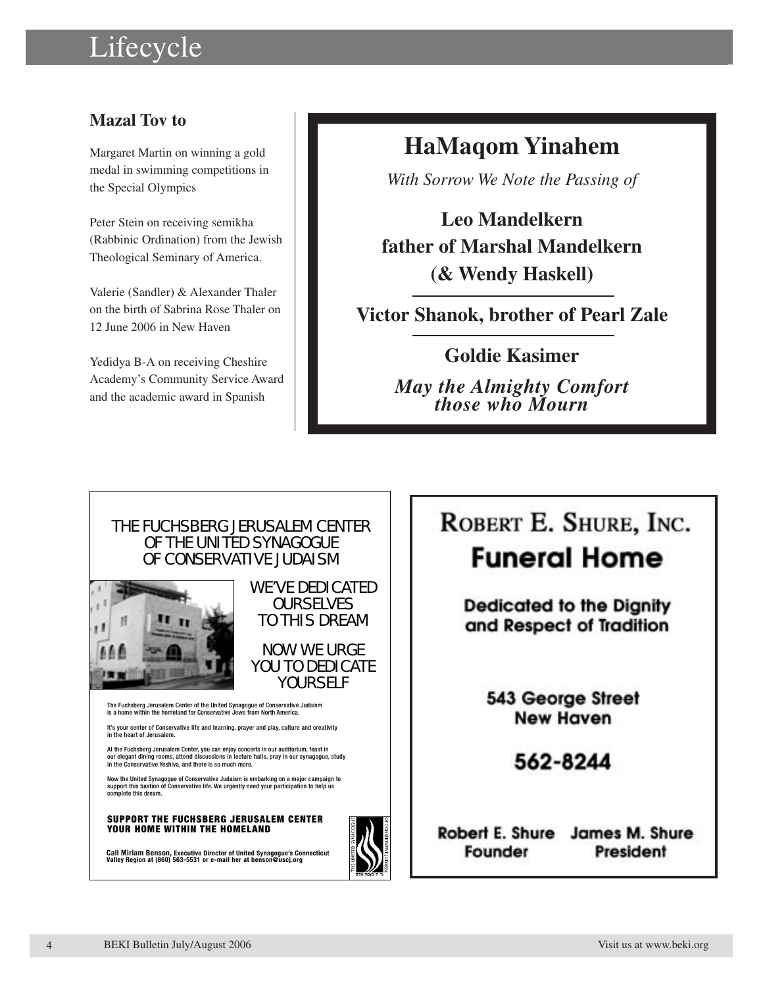# Lifecycle **Category**

### **Mazal Tov to**

Margaret Martin on winning a gold medal in swimming competitions in the Special Olympics

Peter Stein on receiving semikha (Rabbinic Ordination) from the Jewish Theological Seminary of America.

Valerie (Sandler) & Alexander Thaler on the birth of Sabrina Rose Thaler on 12 June 2006 in New Haven

Yedidya B-A on receiving Cheshire Academy's Community Service Award and the academic award in Spanish

## **HaMaqom Yinahem**

*With Sorrow We Note the Passing of*

**Leo Mandelkern father of Marshal Mandelkern (& Wendy Haskell)**

**Victor Shanok, brother of Pearl Zale**

**Goldie Kasimer**

*May the Almighty Comfort those who Mourn*



# ROBERT E. SHURE, INC.

# **Funeral Home**

**Dedicated to the Dignity** and Respect of Tradition

> 543 George Street **New Haven**

> > 562-8244

Robert E. Shure James M. Shure Founder President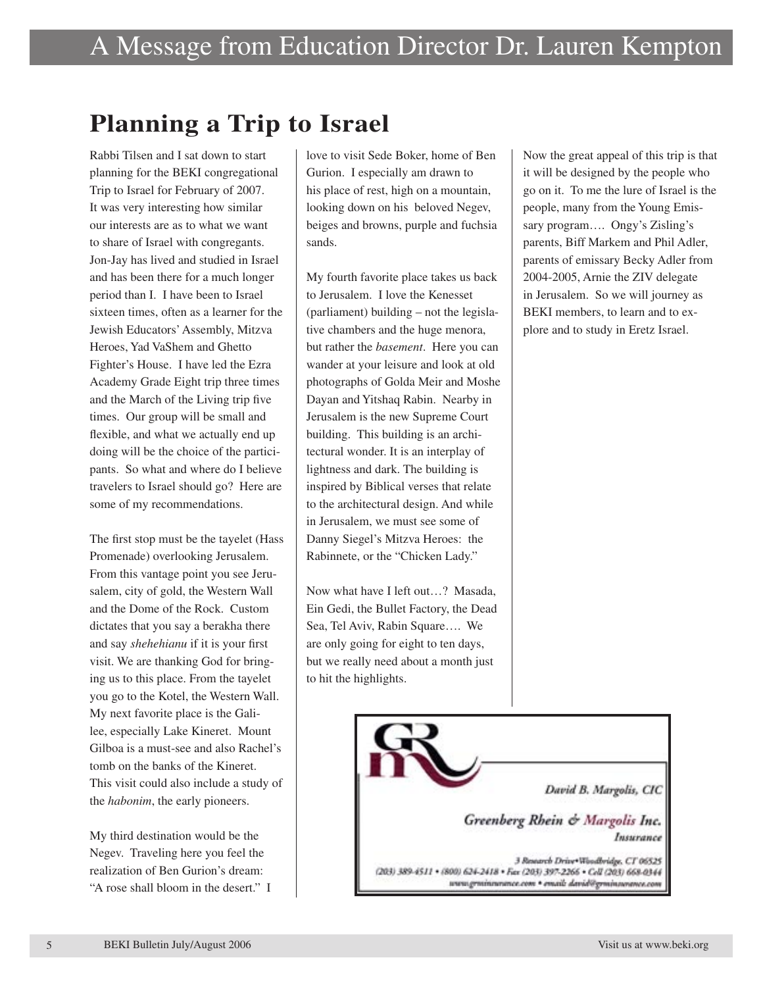# **Planning a Trip to Israel**

Rabbi Tilsen and I sat down to start planning for the BEKI congregational Trip to Israel for February of 2007. It was very interesting how similar our interests are as to what we want to share of Israel with congregants. Jon-Jay has lived and studied in Israel and has been there for a much longer period than I. I have been to Israel sixteen times, often as a learner for the Jewish Educators' Assembly, Mitzva Heroes, Yad VaShem and Ghetto Fighter's House. I have led the Ezra Academy Grade Eight trip three times and the March of the Living trip five times. Our group will be small and flexible, and what we actually end up doing will be the choice of the participants. So what and where do I believe travelers to Israel should go? Here are some of my recommendations.

The first stop must be the tayelet (Hass Promenade) overlooking Jerusalem. From this vantage point you see Jerusalem, city of gold, the Western Wall and the Dome of the Rock. Custom dictates that you say a berakha there and say *shehehianu* if it is your first visit. We are thanking God for bringing us to this place. From the tayelet you go to the Kotel, the Western Wall. My next favorite place is the Galilee, especially Lake Kineret. Mount Gilboa is a must-see and also Rachel's tomb on the banks of the Kineret. This visit could also include a study of the *habonim*, the early pioneers.

My third destination would be the Negev. Traveling here you feel the realization of Ben Gurion's dream: "A rose shall bloom in the desert." I love to visit Sede Boker, home of Ben Gurion. I especially am drawn to his place of rest, high on a mountain, looking down on his beloved Negev, beiges and browns, purple and fuchsia sands.

My fourth favorite place takes us back to Jerusalem. I love the Kenesset (parliament) building – not the legislative chambers and the huge menora, but rather the *basement*. Here you can wander at your leisure and look at old photographs of Golda Meir and Moshe Dayan and Yitshaq Rabin. Nearby in Jerusalem is the new Supreme Court building. This building is an architectural wonder. It is an interplay of lightness and dark. The building is inspired by Biblical verses that relate to the architectural design. And while in Jerusalem, we must see some of Danny Siegel's Mitzva Heroes: the Rabinnete, or the "Chicken Lady."

Now what have I left out…? Masada, Ein Gedi, the Bullet Factory, the Dead Sea, Tel Aviv, Rabin Square…. We are only going for eight to ten days, but we really need about a month just to hit the highlights.

Now the great appeal of this trip is that it will be designed by the people who go on it. To me the lure of Israel is the people, many from the Young Emissary program…. Ongy's Zisling's parents, Biff Markem and Phil Adler, parents of emissary Becky Adler from 2004-2005, Arnie the ZIV delegate in Jerusalem. So we will journey as BEKI members, to learn and to explore and to study in Eretz Israel.

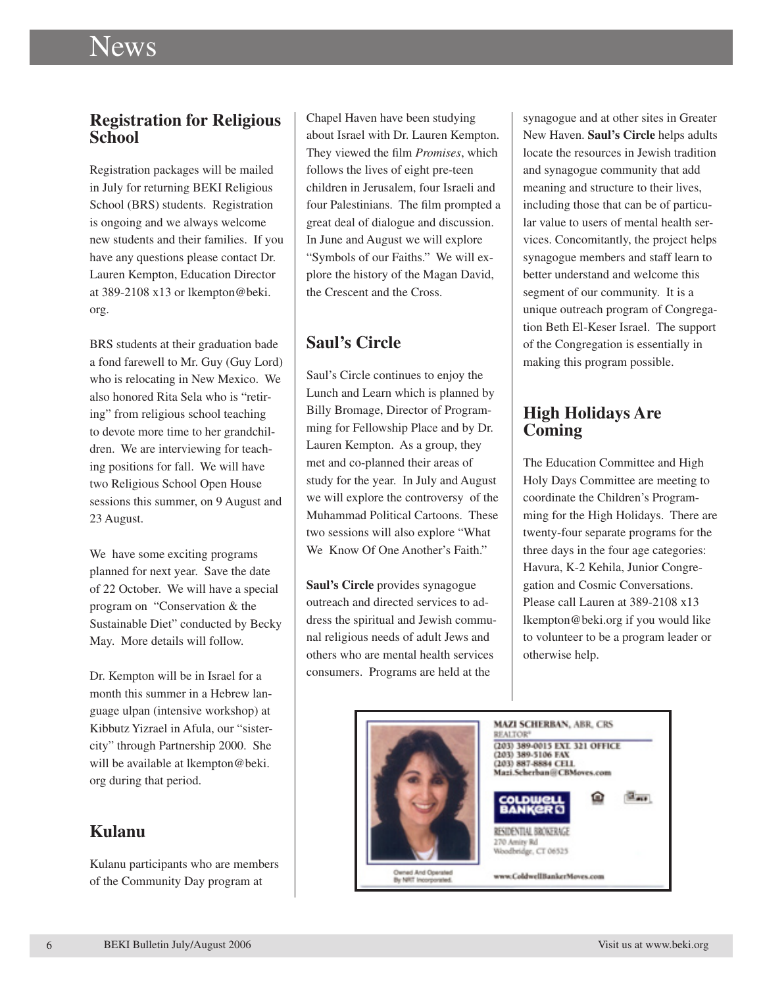#### **Registration for Religious School**

Registration packages will be mailed in July for returning BEKI Religious School (BRS) students. Registration is ongoing and we always welcome new students and their families. If you have any questions please contact Dr. Lauren Kempton, Education Director at 389-2108 x13 or lkempton@beki. org.

BRS students at their graduation bade a fond farewell to Mr. Guy (Guy Lord) who is relocating in New Mexico. We also honored Rita Sela who is "retiring" from religious school teaching to devote more time to her grandchildren. We are interviewing for teaching positions for fall. We will have two Religious School Open House sessions this summer, on 9 August and 23 August.

We have some exciting programs planned for next year. Save the date of 22 October. We will have a special program on "Conservation & the Sustainable Diet" conducted by Becky May. More details will follow.

Dr. Kempton will be in Israel for a month this summer in a Hebrew language ulpan (intensive workshop) at Kibbutz Yizrael in Afula, our "sistercity" through Partnership 2000. She will be available at lkempton@beki. org during that period.

### **Kulanu**

Kulanu participants who are members of the Community Day program at

Chapel Haven have been studying about Israel with Dr. Lauren Kempton. They viewed the film *Promises*, which follows the lives of eight pre-teen children in Jerusalem, four Israeli and four Palestinians. The film prompted a great deal of dialogue and discussion. In June and August we will explore "Symbols of our Faiths." We will explore the history of the Magan David, the Crescent and the Cross.

### **Saul's Circle**

Saul's Circle continues to enjoy the Lunch and Learn which is planned by Billy Bromage, Director of Programming for Fellowship Place and by Dr. Lauren Kempton. As a group, they met and co-planned their areas of study for the year. In July and August we will explore the controversy of the Muhammad Political Cartoons. These two sessions will also explore "What We Know Of One Another's Faith."

**Saul's Circle** provides synagogue outreach and directed services to address the spiritual and Jewish communal religious needs of adult Jews and others who are mental health services consumers. Programs are held at the

synagogue and at other sites in Greater New Haven. **Saul's Circle** helps adults locate the resources in Jewish tradition and synagogue community that add meaning and structure to their lives, including those that can be of particular value to users of mental health services. Concomitantly, the project helps synagogue members and staff learn to better understand and welcome this segment of our community. It is a unique outreach program of Congregation Beth El-Keser Israel. The support of the Congregation is essentially in making this program possible.

### **High Holidays Are Coming**

The Education Committee and High Holy Days Committee are meeting to coordinate the Children's Programming for the High Holidays. There are twenty-four separate programs for the three days in the four age categories: Havura, K-2 Kehila, Junior Congregation and Cosmic Conversations. Please call Lauren at 389-2108 x13 lkempton@beki.org if you would like to volunteer to be a program leader or otherwise help.

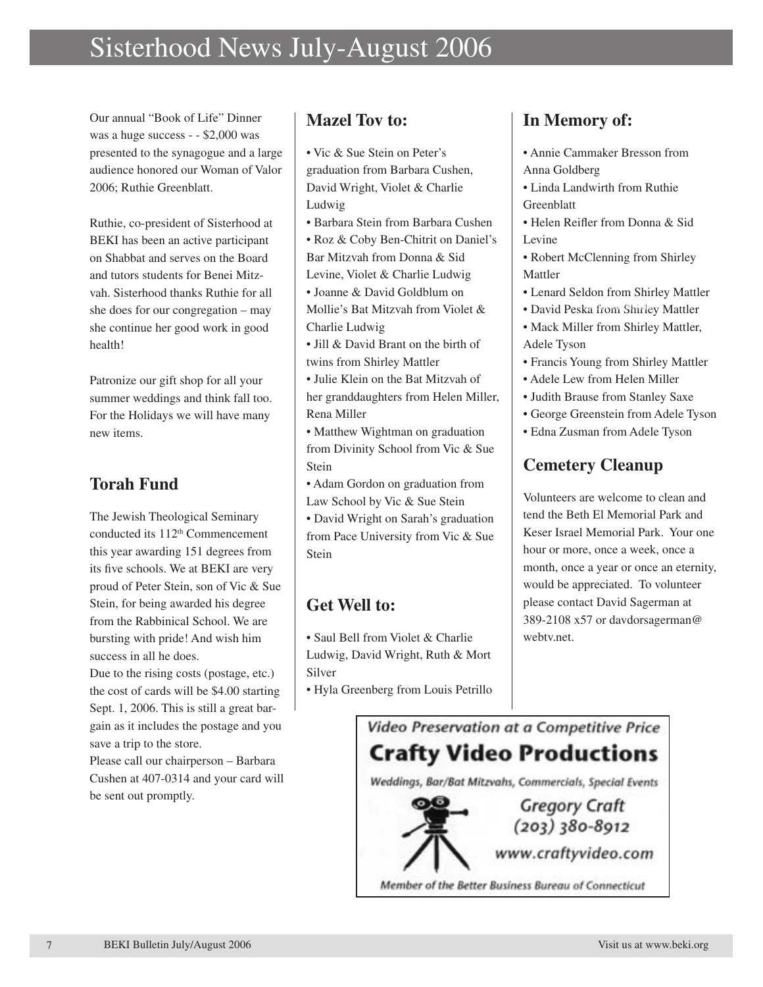## Sisterhood News July-August 2006

Our annual "Book of Life" Dinner was a huge success - - \$2,000 was presented to the synagogue and a large audience honored our Woman of Valor 2006; Ruthie Greenblatt.

Ruthie, co-president of Sisterhood at BEKI has been an active participant on Shabbat and serves on the Board and tutors students for Benei Mitzvah. Sisterhood thanks Ruthie for all she does for our congregation – may she continue her good work in good health!

Patronize our gift shop for all your summer weddings and think fall too. For the Holidays we will have many new items.

### **Torah Fund**

The Jewish Theological Seminary conducted its 112<sup>th</sup> Commencement this year awarding 151 degrees from its five schools. We at BEKI are very proud of Peter Stein, son of Vic & Sue Stein, for being awarded his degree from the Rabbinical School. We are bursting with pride! And wish him success in all he does.

Due to the rising costs (postage, etc.) the cost of cards will be \$4.00 starting Sept. 1, 2006. This is still a great bargain as it includes the postage and you save a trip to the store.

Please call our chairperson – Barbara Cushen at 407-0314 and your card will be sent out promptly.

#### **Mazel Tov to:**

- Vic & Sue Stein on Peter's graduation from Barbara Cushen, David Wright, Violet & Charlie Ludwig
- Barbara Stein from Barbara Cushen
- Roz & Coby Ben-Chitrit on Daniel's Bar Mitzvah from Donna & Sid Levine, Violet & Charlie Ludwig
- Joanne & David Goldblum on Mollie's Bat Mitzvah from Violet & Charlie Ludwig
- Jill & David Brant on the birth of twins from Shirley Mattler
- Julie Klein on the Bat Mitzvah of her granddaughters from Helen Miller, Rena Miller
- Matthew Wightman on graduation from Divinity School from Vic & Sue Stein
- Adam Gordon on graduation from Law School by Vic & Sue Stein
- David Wright on Sarah's graduation from Pace University from Vic & Sue Stein

### **Get Well to:**

- Saul Bell from Violet & Charlie Ludwig, David Wright, Ruth & Mort Silver
- Hyla Greenberg from Louis Petrillo

### **In Memory of:**

- Annie Cammaker Bresson from Anna Goldberg
- Linda Landwirth from Ruthie Greenblatt
- Helen Reifler from Donna & Sid Levine
- Robert McClenning from Shirley Mattler
- Lenard Seldon from Shirley Mattler
- · David Peska from Shirley Mattler
- Mack Miller from Shirley Mattler, Adele Tyson
- Francis Young from Shirley Mattler
- Adele Lew from Helen Miller
- Judith Brause from Stanley Saxe
- George Greenstein from Adele Tyson
- Edna Zusman from Adele Tyson

### **Cemetery Cleanup**

Volunteers are welcome to clean and tend the Beth El Memorial Park and Keser Israel Memorial Park. Your one hour or more, once a week, once a month, once a year or once an eternity, would be appreciated. To volunteer please contact David Sagerman at 389-2108 x57 or davdorsagerman@ webtv.net.

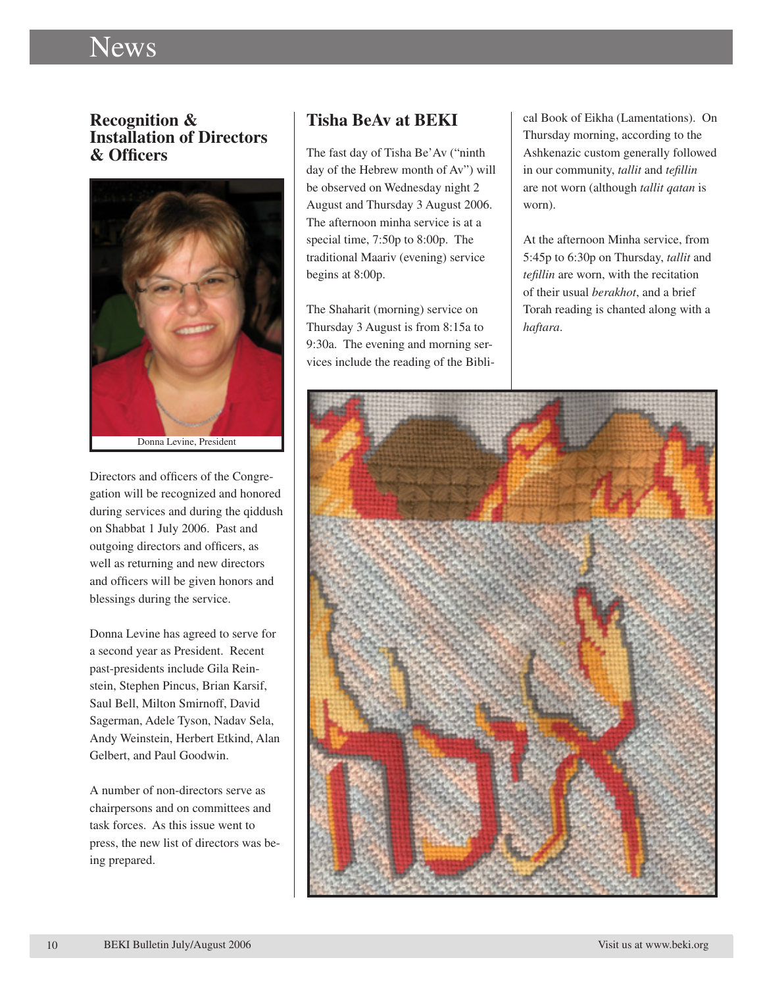#### **Recognition & Installation of Directors & Officers**



Directors and officers of the Congregation will be recognized and honored during services and during the qiddush on Shabbat 1 July 2006. Past and outgoing directors and officers, as well as returning and new directors and officers will be given honors and blessings during the service.

Donna Levine has agreed to serve for a second year as President. Recent past-presidents include Gila Reinstein, Stephen Pincus, Brian Karsif, Saul Bell, Milton Smirnoff, David Sagerman, Adele Tyson, Nadav Sela, Andy Weinstein, Herbert Etkind, Alan Gelbert, and Paul Goodwin.

A number of non-directors serve as chairpersons and on committees and task forces. As this issue went to press, the new list of directors was being prepared.

#### **Tisha BeAv at BEKI**

The fast day of Tisha Be'Av ("ninth day of the Hebrew month of Av") will be observed on Wednesday night 2 August and Thursday 3 August 2006. The afternoon minha service is at a special time, 7:50p to 8:00p. The traditional Maariv (evening) service begins at 8:00p.

The Shaharit (morning) service on Thursday 3 August is from 8:15a to 9:30a. The evening and morning services include the reading of the Biblical Book of Eikha (Lamentations). On Thursday morning, according to the Ashkenazic custom generally followed in our community, *tallit* and *tefillin* are not worn (although *tallit qatan* is worn).

At the afternoon Minha service, from 5:45p to 6:30p on Thursday, *tallit* and *tefillin* are worn, with the recitation of their usual *berakhot*, and a brief Torah reading is chanted along with a *haftara*.

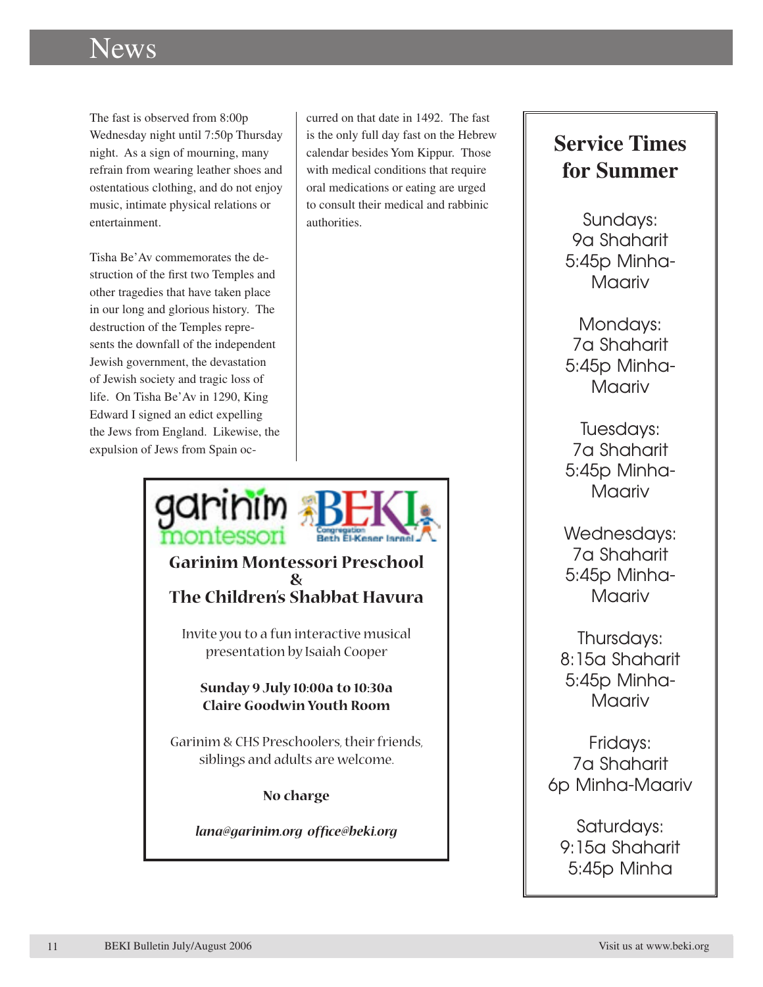The fast is observed from 8:00p Wednesday night until 7:50p Thursday night. As a sign of mourning, many refrain from wearing leather shoes and ostentatious clothing, and do not enjoy music, intimate physical relations or entertainment.

Tisha Be'Av commemorates the destruction of the first two Temples and other tragedies that have taken place in our long and glorious history. The destruction of the Temples represents the downfall of the independent Jewish government, the devastation of Jewish society and tragic loss of life. On Tisha Be'Av in 1290, King Edward I signed an edict expelling the Jews from England. Likewise, the expulsion of Jews from Spain occurred on that date in 1492. The fast is the only full day fast on the Hebrew calendar besides Yom Kippur. Those with medical conditions that require oral medications or eating are urged to consult their medical and rabbinic authorities.



## **Service Times for Summer**

Sundays: 9a Shaharit 5:45p Minha-Maariv

Mondays: 7a Shaharit 5:45p Minha-Maariv

Tuesdays: 7a Shaharit 5:45p Minha-Maariv

Wednesdays: 7a Shaharit 5:45p Minha-Maariv

Thursdays: 8:15a Shaharit 5:45p Minha-Maariv

Fridays: 7a Shaharit 6p Minha-Maariv

Saturdays: 9:15a Shaharit 5:45p Minha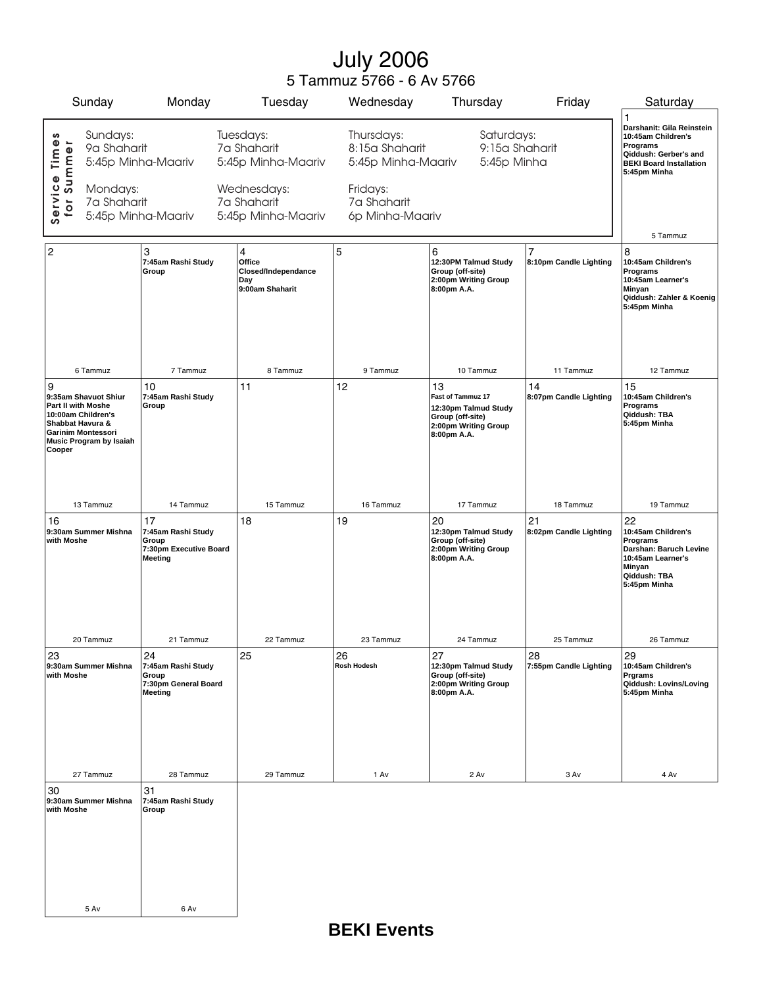## July 2006 5 Tammuz 5766 - 6 Av 5766

| Sunday                                                                                                                                                      |                                                                                                | Monday                                                                        | Tuesday                                                                                            | Wednesday                                                                                        | Thursday                                                                                                   | Friday                                   | Saturday                                                                                                                                    |
|-------------------------------------------------------------------------------------------------------------------------------------------------------------|------------------------------------------------------------------------------------------------|-------------------------------------------------------------------------------|----------------------------------------------------------------------------------------------------|--------------------------------------------------------------------------------------------------|------------------------------------------------------------------------------------------------------------|------------------------------------------|---------------------------------------------------------------------------------------------------------------------------------------------|
| Service Times<br>for Summer                                                                                                                                 | Sundays:<br>9a Shaharit<br>5:45p Minha-Maariv<br>Mondays:<br>7a Shaharit<br>5:45p Minha-Maariv |                                                                               | Tuesdays:<br>7a Shaharit<br>5:45p Minha-Maariv<br>Wednesdays:<br>7a Shaharit<br>5:45p Minha-Maariv | Thursdays:<br>8:15a Shaharit<br>5:45p Minha-Maariv<br>Fridays:<br>7a Shaharit<br>6p Minha-Maariv | Saturdays:<br>9:15a Shaharit<br>5:45p Minha                                                                |                                          | 1<br>Darshanit: Gila Reinstein<br>10:45am Children's<br>Programs<br>Qiddush: Gerber's and<br><b>BEKI Board Installation</b><br>5:45pm Minha |
|                                                                                                                                                             |                                                                                                |                                                                               |                                                                                                    |                                                                                                  |                                                                                                            |                                          | 5 Tammuz                                                                                                                                    |
| 2                                                                                                                                                           |                                                                                                | 3<br>7:45am Rashi Study<br>Group                                              | 4<br>Office<br>Closed/Independance<br>Day<br>9:00am Shaharit                                       | 5                                                                                                | 6<br>12:30PM Talmud Study<br>Group (off-site)<br>2:00pm Writing Group<br>8:00pm A.A.                       | $\overline{7}$<br>8:10pm Candle Lighting | 8<br>10:45am Children's<br>Programs<br>10:45am Learner's<br>Minyan<br>Qiddush: Zahler & Koenig<br>5:45pm Minha                              |
| 6 Tammuz                                                                                                                                                    |                                                                                                | 7 Tammuz                                                                      | 8 Tammuz                                                                                           | 9 Tammuz                                                                                         | 10 Tammuz                                                                                                  | 11 Tammuz                                | 12 Tammuz                                                                                                                                   |
| 9<br>9:35am Shavuot Shiur<br>Part II with Moshe<br>10:00am Children's<br>Shabbat Havura &<br><b>Garinim Montessori</b><br>Music Program by Isaiah<br>Cooper |                                                                                                | 10<br>7:45am Rashi Study<br>Group                                             | 11                                                                                                 | 12                                                                                               | 13<br>Fast of Tammuz 17<br>12:30pm Talmud Study<br>Group (off-site)<br>2:00pm Writing Group<br>8:00pm A.A. | 14<br>8:07pm Candle Lighting             | 15<br>10:45am Children's<br><b>Programs</b><br>Qiddush: TBA<br>5:45pm Minha                                                                 |
| 13 Tammuz                                                                                                                                                   |                                                                                                | 14 Tammuz                                                                     | 15 Tammuz                                                                                          | 16 Tammuz                                                                                        | 17 Tammuz                                                                                                  | 18 Tammuz                                | 19 Tammuz                                                                                                                                   |
| 16<br>9:30am Summer Mishna<br>with Moshe                                                                                                                    |                                                                                                | 17<br>7:45am Rashi Study<br>Group<br>7:30pm Executive Board<br><b>Meeting</b> | 18                                                                                                 | 19                                                                                               | 20<br>12:30pm Talmud Study<br>Group (off-site)<br>2:00pm Writing Group<br>8:00pm A.A.                      | 21<br>8:02pm Candle Lighting             | 22<br>10:45am Children's<br><b>Programs</b><br>Darshan: Baruch Levine<br>10:45am Learner's<br>Minyan<br>Qiddush: TBA<br>5:45pm Minha        |
| 20 Tammuz                                                                                                                                                   |                                                                                                | 21 Tammuz                                                                     | 22 Tammuz                                                                                          | 23 Tammuz                                                                                        | 24 Tammuz                                                                                                  | 25 Tammuz                                | 26 Tammuz                                                                                                                                   |
| 23<br>9:30am Summer Mishna<br>with Moshe                                                                                                                    |                                                                                                | 24<br>7:45am Rashi Study<br>Group<br>7:30pm General Board<br>Meeting          | 25                                                                                                 | 26<br>Rosh Hodesh                                                                                | 27<br>12:30pm Talmud Study<br>Group (off-site)<br>2:00pm Writing Group<br>8:00pm A.A.                      | 28<br>7:55pm Candle Lighting             | 29<br>10:45am Children's<br>Prgrams<br>Qiddush: Lovins/Loving<br>5:45pm Minha                                                               |
| 27 Tammuz                                                                                                                                                   |                                                                                                | 28 Tammuz                                                                     | 29 Tammuz                                                                                          | 1 Av                                                                                             | 2 Av                                                                                                       | 3 Av                                     | 4 Av                                                                                                                                        |
| 30<br>9:30am Summer Mishna<br>with Moshe<br>5 Av                                                                                                            |                                                                                                | 31<br>7:45am Rashi Study<br>Group<br>6 Av                                     |                                                                                                    |                                                                                                  |                                                                                                            |                                          |                                                                                                                                             |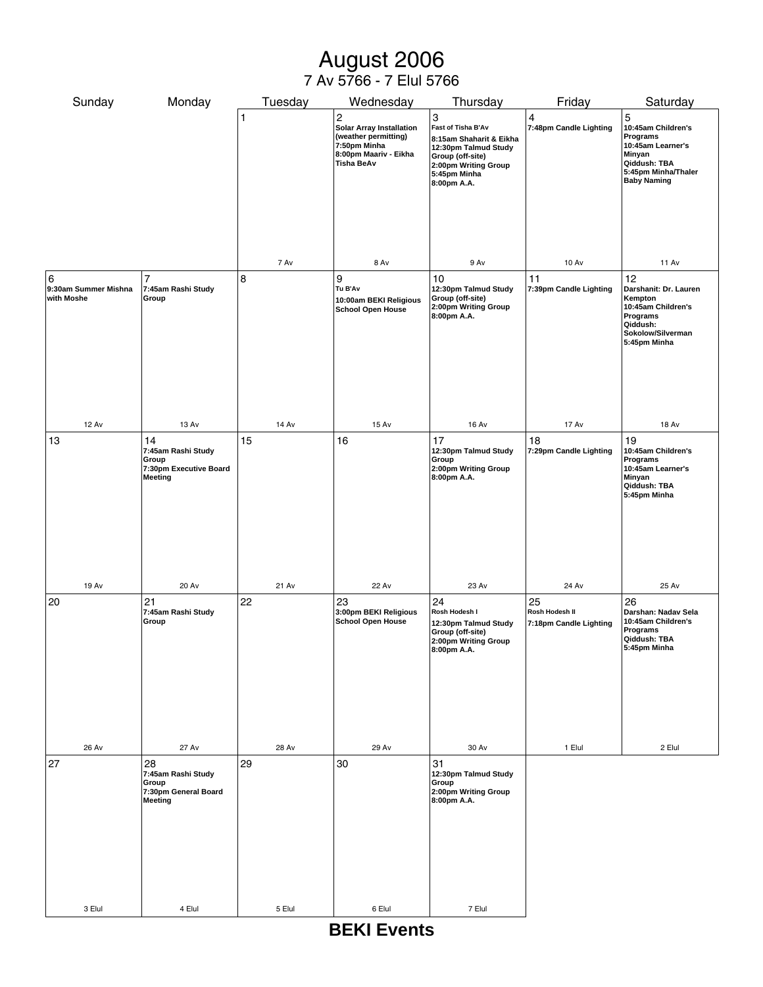## August 2006

#### 7 Av 5766 - 7 Elul 5766

| Sunday                                  | Monday                                                                        | Tuesday      | Wednesday                                                                                                                            | Thursday                                                                                                                                              | Friday                                         | Saturday                                                                                                                        |
|-----------------------------------------|-------------------------------------------------------------------------------|--------------|--------------------------------------------------------------------------------------------------------------------------------------|-------------------------------------------------------------------------------------------------------------------------------------------------------|------------------------------------------------|---------------------------------------------------------------------------------------------------------------------------------|
|                                         |                                                                               | 1            | $\mathbf 2$<br><b>Solar Array Installation</b><br>(weather permitting)<br>7:50pm Minha<br>8:00pm Maariv - Eikha<br><b>Tisha BeAv</b> | 3<br>Fast of Tisha B'Av<br>8:15am Shaharit & Eikha<br>12:30pm Talmud Study<br>Group (off-site)<br>2:00pm Writing Group<br>5:45pm Minha<br>8:00pm A.A. | 4<br>7:48pm Candle Lighting                    | 5<br>10:45am Children's<br>Programs<br>10:45am Learner's<br>Minyan<br>Qiddush: TBA<br>5:45pm Minha/Thaler<br><b>Baby Naming</b> |
|                                         |                                                                               | 7 Av         | 8 Av                                                                                                                                 | 9 Av                                                                                                                                                  | 10 Av                                          | <b>11 Av</b>                                                                                                                    |
| 6<br>9:30am Summer Mishna<br>with Moshe | $\overline{7}$<br>7:45am Rashi Study<br>Group                                 | 8            | 9<br>Tu B'Av<br>10:00am BEKI Religious<br><b>School Open House</b>                                                                   | 10<br>12:30pm Talmud Study<br>Group (off-site)<br>2:00pm Writing Group<br>8:00pm A.A.                                                                 | 11<br>7:39pm Candle Lighting                   | 12<br>Darshanit: Dr. Lauren<br>Kempton<br>10:45am Children's<br>Programs<br>Qiddush:<br>Sokolow/Silverman<br>5:45pm Minha       |
| <b>12 Av</b>                            | 13 Av                                                                         | 14 Av        | 15 Av                                                                                                                                | <b>16 Av</b>                                                                                                                                          | <b>17 Av</b>                                   | <b>18 Av</b>                                                                                                                    |
| 13                                      | 14<br>7:45am Rashi Study<br>Group<br>7:30pm Executive Board<br><b>Meeting</b> | 15           | 16                                                                                                                                   | 17<br>12:30pm Talmud Study<br>Group<br>2:00pm Writing Group<br>8:00pm A.A.                                                                            | 18<br>7:29pm Candle Lighting                   | 19<br>10:45am Children's<br>Programs<br>10:45am Learner's<br>Minyan<br>Qiddush: TBA<br>5:45pm Minha                             |
| <b>19 Av</b>                            | <b>20 Av</b>                                                                  | <b>21 Av</b> | <b>22 Av</b>                                                                                                                         | 23 Av                                                                                                                                                 | 24 Av                                          | 25 Av                                                                                                                           |
| 20                                      | 21<br>7:45am Rashi Study<br>Group                                             | 22           | 23<br>3:00pm BEKI Religious<br><b>School Open House</b>                                                                              | 24<br>Rosh Hodesh I<br>12:30pm Talmud Study<br>Group (off-site)<br>2:00pm Writing Group<br>8:00pm A.A.                                                | 25<br>Rosh Hodesh II<br>7:18pm Candle Lighting | 26<br>Darshan: Nadav Sela<br>10:45am Children's<br>Programs<br>Qiddush: TBA<br>5:45pm Minha                                     |
| <b>26 Av</b>                            | 27 Av                                                                         | 28 Av        | 29 Av                                                                                                                                | 30 Av                                                                                                                                                 | 1 Elul                                         | 2 Elul                                                                                                                          |
| 27                                      | 28<br>7:45am Rashi Study<br>Group<br>7:30pm General Board<br>Meeting          | 29           | 30                                                                                                                                   | 31<br>12:30pm Talmud Study<br>Group<br>2:00pm Writing Group<br>8:00pm A.A.                                                                            |                                                |                                                                                                                                 |
| 3 Elul                                  | 4 Elul                                                                        | 5 Elul       | 6 Elul                                                                                                                               | 7 Elul                                                                                                                                                |                                                |                                                                                                                                 |

## **BEKI Events**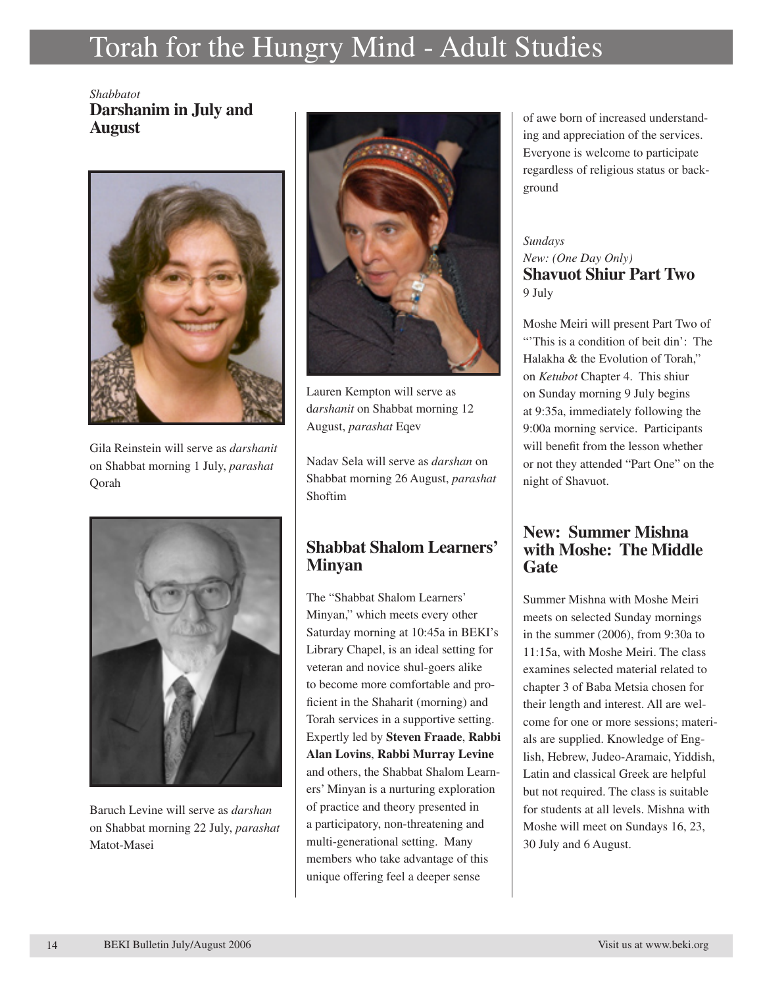# Torah for the Hungry Mind - Adult Studies

#### *Shabbatot* **Darshanim in July and August**



Gila Reinstein will serve as *darshanit* on Shabbat morning 1 July, *parashat* Qorah



Baruch Levine will serve as *darshan* on Shabbat morning 22 July, *parashat* Matot-Masei



Lauren Kempton will serve as d*arshanit* on Shabbat morning 12 August, *parashat* Eqev

Nadav Sela will serve as *darshan* on Shabbat morning 26 August, *parashat* Shoftim

#### **Shabbat Shalom Learners' Minyan**

The "Shabbat Shalom Learners' Minyan," which meets every other Saturday morning at 10:45a in BEKI's Library Chapel, is an ideal setting for veteran and novice shul-goers alike to become more comfortable and proficient in the Shaharit (morning) and Torah services in a supportive setting. Expertly led by **Steven Fraade**, **Rabbi Alan Lovins**, **Rabbi Murray Levine** and others, the Shabbat Shalom Learners' Minyan is a nurturing exploration of practice and theory presented in a participatory, non-threatening and multi-generational setting. Many members who take advantage of this unique offering feel a deeper sense

of awe born of increased understanding and appreciation of the services. Everyone is welcome to participate regardless of religious status or background

#### *Sundays New: (One Day Only)* **Shavuot Shiur Part Two** 9 July

Moshe Meiri will present Part Two of "This is a condition of beit din': The Halakha & the Evolution of Torah," on *Ketubot* Chapter 4. This shiur on Sunday morning 9 July begins at 9:35a, immediately following the 9:00a morning service. Participants will benefit from the lesson whether or not they attended "Part One" on the night of Shavuot.

#### **New: Summer Mishna with Moshe: The Middle Gate**

Summer Mishna with Moshe Meiri meets on selected Sunday mornings in the summer (2006), from 9:30a to 11:15a, with Moshe Meiri. The class examines selected material related to chapter 3 of Baba Metsia chosen for their length and interest. All are welcome for one or more sessions; materials are supplied. Knowledge of English, Hebrew, Judeo-Aramaic, Yiddish, Latin and classical Greek are helpful but not required. The class is suitable for students at all levels. Mishna with Moshe will meet on Sundays 16, 23, 30 July and 6 August.

13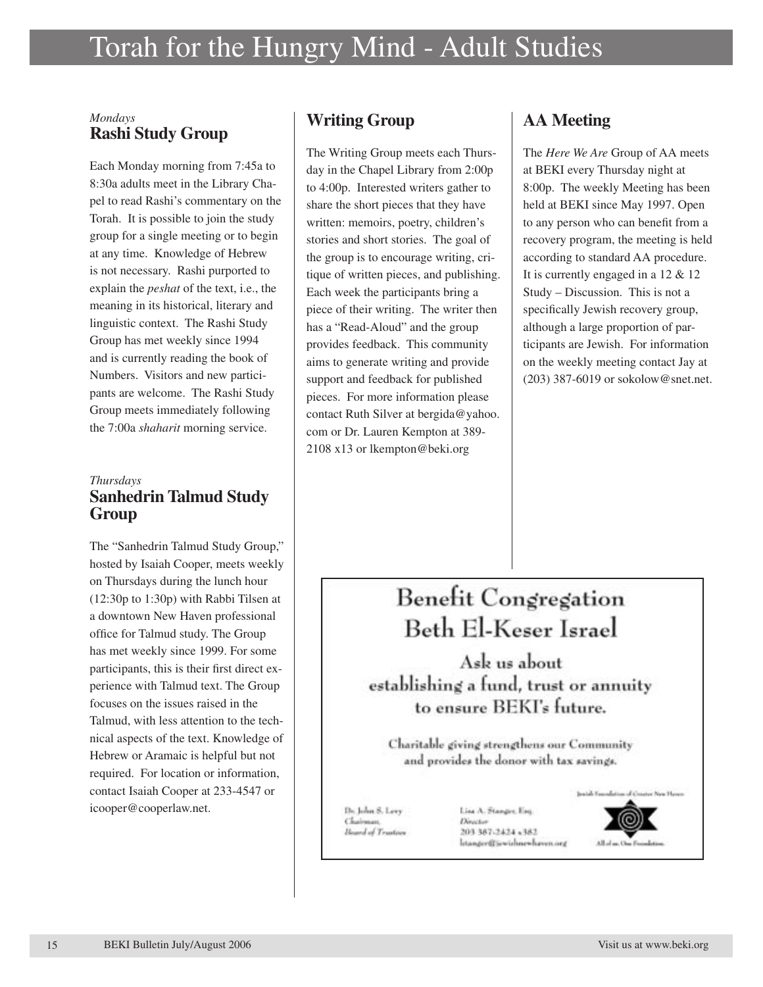#### *Mondays* **Rashi Study Group**

Each Monday morning from 7:45a to 8:30a adults meet in the Library Chapel to read Rashi's commentary on the Torah. It is possible to join the study group for a single meeting or to begin at any time. Knowledge of Hebrew is not necessary. Rashi purported to explain the *peshat* of the text, i.e., the meaning in its historical, literary and linguistic context. The Rashi Study Group has met weekly since 1994 and is currently reading the book of Numbers. Visitors and new participants are welcome. The Rashi Study Group meets immediately following the 7:00a *shaharit* morning service.

#### *Thursdays* **Sanhedrin Talmud Study Group**

The "Sanhedrin Talmud Study Group," hosted by Isaiah Cooper, meets weekly on Thursdays during the lunch hour (12:30p to 1:30p) with Rabbi Tilsen at a downtown New Haven professional office for Talmud study. The Group has met weekly since 1999. For some participants, this is their first direct experience with Talmud text. The Group focuses on the issues raised in the Talmud, with less attention to the technical aspects of the text. Knowledge of Hebrew or Aramaic is helpful but not required. For location or information, contact Isaiah Cooper at 233-4547 or icooper@cooperlaw.net.

### **Writing Group**

The Writing Group meets each Thursday in the Chapel Library from 2:00p to 4:00p. Interested writers gather to share the short pieces that they have written: memoirs, poetry, children's stories and short stories. The goal of the group is to encourage writing, critique of written pieces, and publishing. Each week the participants bring a piece of their writing. The writer then has a "Read-Aloud" and the group provides feedback. This community aims to generate writing and provide support and feedback for published pieces. For more information please contact Ruth Silver at bergida@yahoo. com or Dr. Lauren Kempton at 389- 2108 x13 or lkempton@beki.org

### **AA Meeting**

The *Here We Are* Group of AA meets at BEKI every Thursday night at 8:00p. The weekly Meeting has been held at BEKI since May 1997. Open to any person who can benefit from a recovery program, the meeting is held according to standard AA procedure. It is currently engaged in a 12 & 12 Study – Discussion. This is not a specifically Jewish recovery group, although a large proportion of participants are Jewish. For information on the weekly meeting contact Jay at (203) 387-6019 or sokolow@snet.net.

# Benefit Congregation Beth El-Keser Israel

Ask us about establishing a fund, trust or annuity to ensure BEKI's future.

Charitable giving strengthens our Community and provides the donor with tax savings.

Dr. John S. Levy Chairman Hoursd of Trustees Line A. Stanger, Eng. Director 203 387-2424 +382 **Istanger@iewishnewhaven.org** 



on Hans